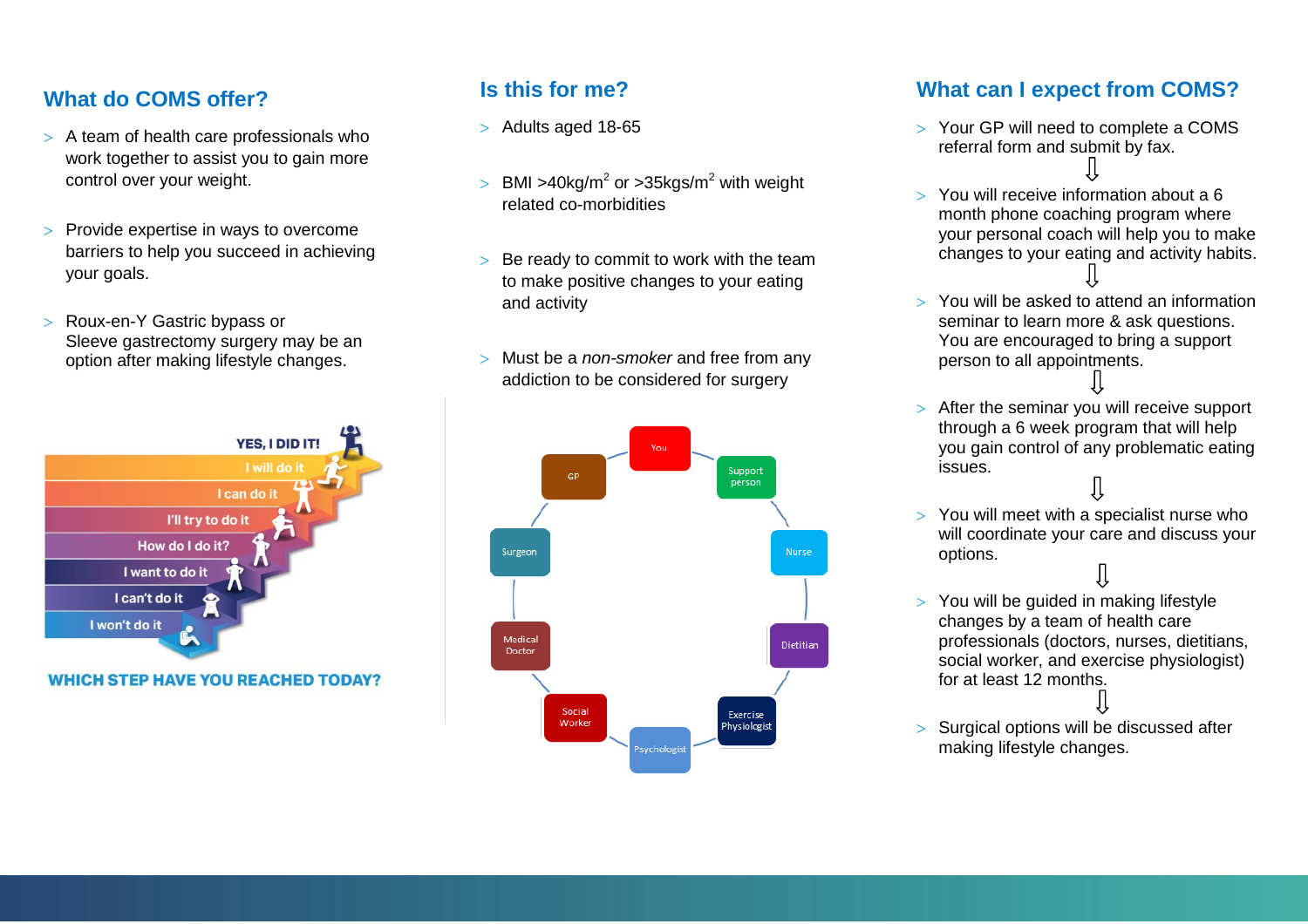## **What do COMS offer?**

- $>$  A team of health care professionals who work together to assist you to gain more control over your weight.
- $>$  Provide expertise in ways to overcome barriers to help you succeed in achieving your goals.
- > Roux-en-Y Gastric bypass or Sleeve gastrectomy surgery may be an option after making lifestyle changes.



**WHICH STEP HAVE YOU REACHED TODAY?** 

# **Is this for me?**

- $>$  Adults aged 18-65
- $>$  BMI >40kg/m<sup>2</sup> or >35kgs/m<sup>2</sup> with weight related co-morbidities
- $>$  Be ready to commit to work with the team to make positive changes to your eating and activity
- Must be a *non-smoker* and free from any addiction to be considered for surgery



## **What can I expect from COMS?**

- Your GP will need to complete a COMS referral form and submit by fax.
- You will receive information about a 6 month phone coaching program where your personal coach will help you to make changes to your eating and activity habits.
- You will be asked to attend an information seminar to learn more & ask questions. You are encouraged to bring a support person to all appointments.
- $>$  After the seminar you will receive support through a 6 week program that will help you gain control of any problematic eating issues.
- You will meet with a specialist nurse who will coordinate your care and discuss your options.
- $>$  You will be guided in making lifestyle changes by a team of health care professionals (doctors, nurses, dietitians, social worker, and exercise physiologist) for at least 12 months.
- > Surgical options will be discussed after making lifestyle changes.